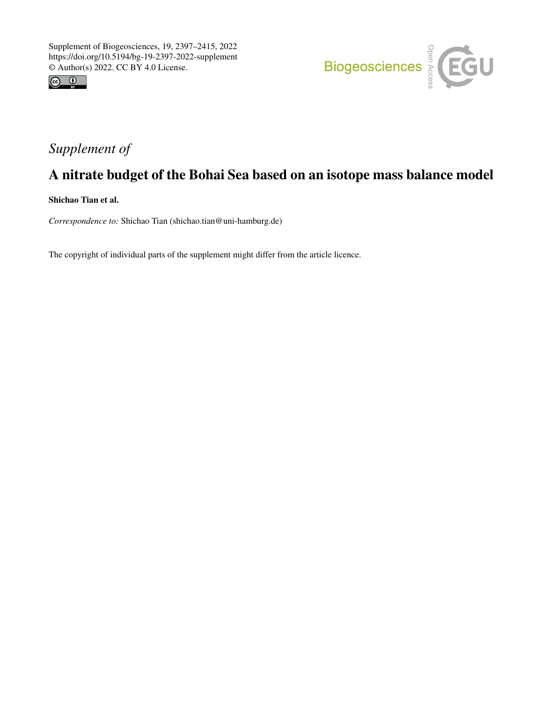



# *Supplement of*

# A nitrate budget of the Bohai Sea based on an isotope mass balance model

Shichao Tian et al.

*Correspondence to:* Shichao Tian (shichao.tian@uni-hamburg.de)

The copyright of individual parts of the supplement might differ from the article licence.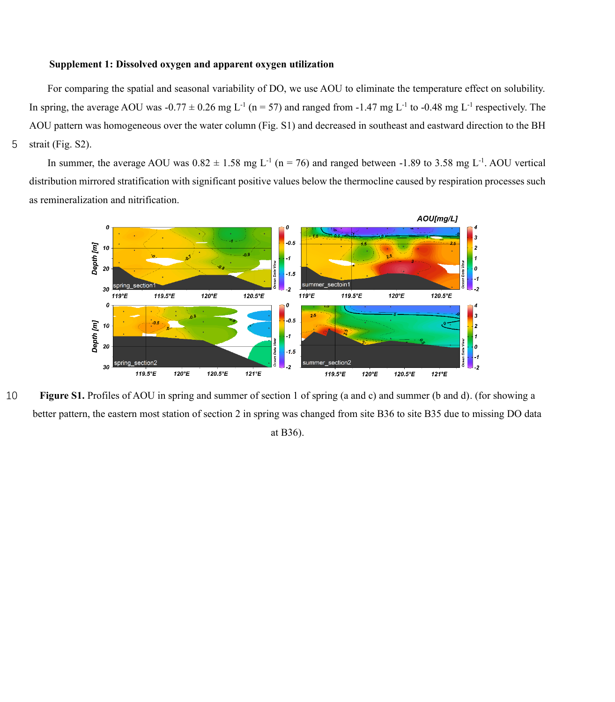### **Supplement 1: Dissolved oxygen and apparent oxygen utilization**

For comparing the spatial and seasonal variability of DO, we use AOU to eliminate the temperature effect on solubility. In spring, the average AOU was  $-0.77 \pm 0.26$  mg L<sup>-1</sup> (n = 57) and ranged from -1.47 mg L<sup>-1</sup> to -0.48 mg L<sup>-1</sup> respectively. The AOU pattern was homogeneous over the water column (Fig. S1) and decreased in southeast and eastward direction to the BH 5 strait (Fig. S2).

In summer, the average AOU was  $0.82 \pm 1.58$  mg L<sup>-1</sup> (n = 76) and ranged between -1.89 to 3.58 mg L<sup>-1</sup>. AOU vertical distribution mirrored stratification with significant positive values below the thermocline caused by respiration processes such as remineralization and nitrification.



10 **Figure S1.** Profiles of AOU in spring and summer of section 1 of spring (a and c) and summer (b and d). (for showing a better pattern, the eastern most station of section 2 in spring was changed from site B36 to site B35 due to missing DO data at B36).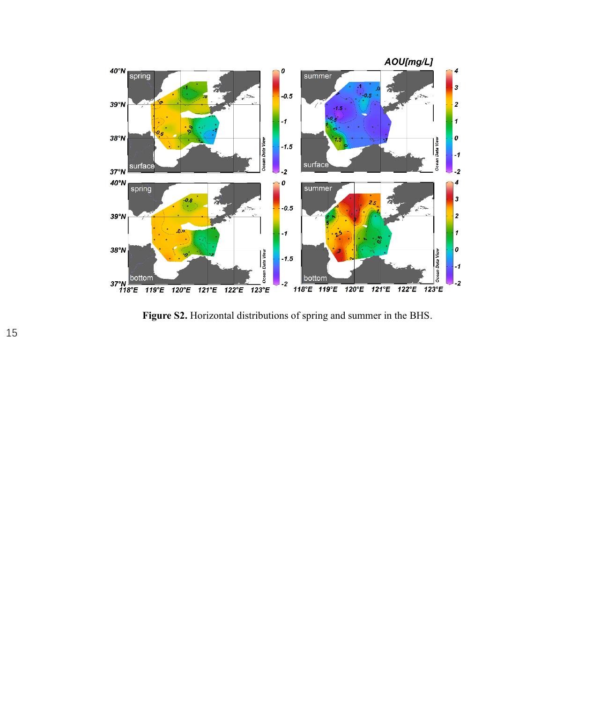

**Figure S2.** Horizontal distributions of spring and summer in the BHS.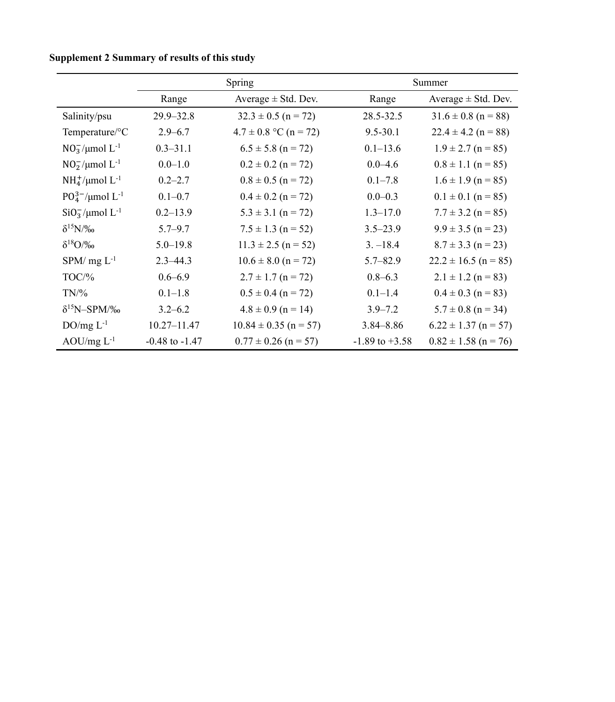|                                     | Spring             |                           | Summer             |                          |
|-------------------------------------|--------------------|---------------------------|--------------------|--------------------------|
|                                     | Range              | Average $\pm$ Std. Dev.   | Range              | Average $\pm$ Std. Dev.  |
| Salinity/psu                        | $29.9 - 32.8$      | $32.3 \pm 0.5$ (n = 72)   | 28.5-32.5          | $31.6 \pm 0.8$ (n = 88)  |
| Temperature/°C                      | $2.9 - 6.7$        | $4.7 \pm 0.8$ °C (n = 72) | $9.5 - 30.1$       | $22.4 \pm 4.2$ (n = 88)  |
| $NO_3^-/\mu$ mol $L^{-1}$           | $0.3 - 31.1$       | $6.5 \pm 5.8$ (n = 72)    | $0.1 - 13.6$       | $1.9 \pm 2.7$ (n = 85)   |
| $NO_2^-/\mu$ mol L <sup>-1</sup>    | $0.0 - 1.0$        | $0.2 \pm 0.2$ (n = 72)    | $0.0 - 4.6$        | $0.8 \pm 1.1$ (n = 85)   |
| $NH4+/\mu$ mol L <sup>-1</sup>      | $0.2 - 2.7$        | $0.8 \pm 0.5$ (n = 72)    | $0.1 - 7.8$        | $1.6 \pm 1.9$ (n = 85)   |
| $P0_4^{3-}/\mu$ mol L <sup>-1</sup> | $0.1 - 0.7$        | $0.4 \pm 0.2$ (n = 72)    | $0.0 - 0.3$        | $0.1 \pm 0.1$ (n = 85)   |
| $SiO3-/\mu$ mol L <sup>-1</sup>     | $0.2 - 13.9$       | $5.3 \pm 3.1$ (n = 72)    | $1.3 - 17.0$       | $7.7 \pm 3.2$ (n = 85)   |
| $\delta^{15}N/\%$                   | $5.7 - 9.7$        | $7.5 \pm 1.3$ (n = 52)    | $3.5 - 23.9$       | $9.9 \pm 3.5$ (n = 23)   |
| $\delta^{18}O/\%$                   | $5.0 - 19.8$       | $11.3 \pm 2.5$ (n = 52)   | $3. - 18.4$        | $8.7 \pm 3.3$ (n = 23)   |
| $SPM/mg L^{-1}$                     | $2.3 - 44.3$       | $10.6 \pm 8.0$ (n = 72)   | $5.7 - 82.9$       | $22.2 \pm 16.5$ (n = 85) |
| $TOC\frac{9}{6}$                    | $0.6 - 6.9$        | $2.7 \pm 1.7$ (n = 72)    | $0.8 - 6.3$        | $2.1 \pm 1.2$ (n = 83)   |
| $TN\%$                              | $0.1 - 1.8$        | $0.5 \pm 0.4$ (n = 72)    | $0.1 - 1.4$        | $0.4 \pm 0.3$ (n = 83)   |
| $\delta^{15}$ N-SPM/ $\%$ o         | $3.2 - 6.2$        | $4.8 \pm 0.9$ (n = 14)    | $3.9 - 7.2$        | $5.7 \pm 0.8$ (n = 34)   |
| $DO/mg L^{-1}$                      | $10.27 - 11.47$    | $10.84 \pm 0.35$ (n = 57) | $3.84 - 8.86$      | $6.22 \pm 1.37$ (n = 57) |
| AOU/mg $L^{-1}$                     | $-0.48$ to $-1.47$ | $0.77 \pm 0.26$ (n = 57)  | $-1.89$ to $+3.58$ | $0.82 \pm 1.58$ (n = 76) |

**Supplement 2 Summary of results of this study**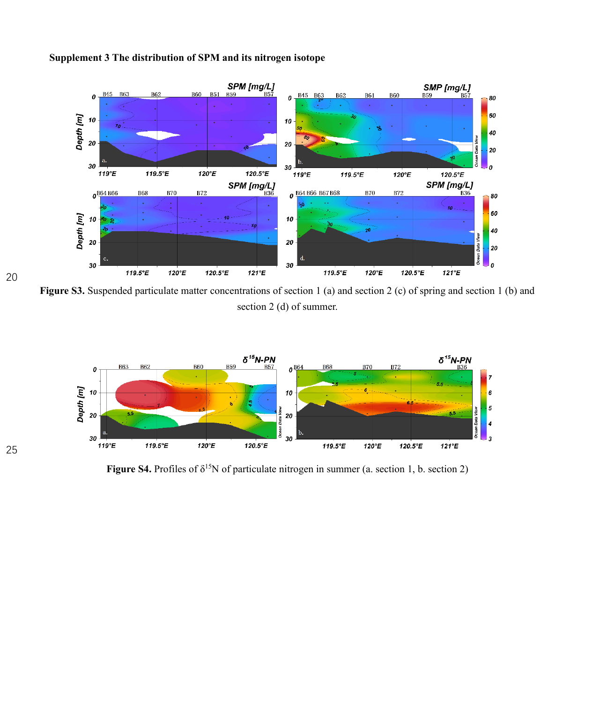

## **Supplement 3 The distribution of SPM and its nitrogen isotope**

**Figure S3.** Suspended particulate matter concentrations of section 1 (a) and section 2 (c) of spring and section 1 (b) and section 2 (d) of summer.



**Figure S4.** Profiles of  $\delta^{15}N$  of particulate nitrogen in summer (a. section 1, b. section 2)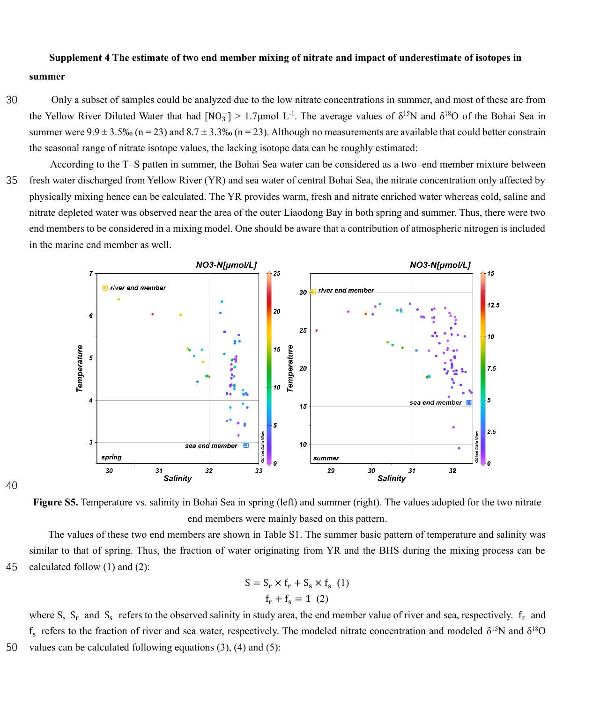### **Supplement 4 The estimate of two end member mixing of nitrate and impact of underestimate of isotopes in**

#### **summer**

30 Only a subset of samples could be analyzed due to the low nitrate concentrations in summer, and most of these are from the Yellow River Diluted Water that had  $[NO_3^-] > 1.7 \mu$ mol L<sup>-1</sup>. The average values of  $\delta^{15}N$  and  $\delta^{18}O$  of the Bohai Sea in summer were  $9.9 \pm 3.5\%$  (n = 23) and  $8.7 \pm 3.3\%$  (n = 23). Although no measurements are available that could better constrain the seasonal range of nitrate isotope values, the lacking isotope data can be roughly estimated:

According to the T–S patten in summer, the Bohai Sea water can be considered as a two–end member mixture between 35 fresh water discharged from Yellow River (YR) and sea water of central Bohai Sea, the nitrate concentration only affected by physically mixing hence can be calculated. The YR provides warm, fresh and nitrate enriched water whereas cold, saline and nitrate depleted water was observed near the area of the outer Liaodong Bay in both spring and summer. Thus, there were two end members to be considered in a mixing model. One should be aware that a contribution of atmospheric nitrogen is included in the marine end member as well.





**Figure S5.** Temperature vs. salinity in Bohai Sea in spring (left) and summer (right). The values adopted for the two nitrate end members were mainly based on this pattern.

The values of these two end members are shown in Table S1. The summer basic pattern of temperature and salinity was similar to that of spring. Thus, the fraction of water originating from YR and the BHS during the mixing process can be 45 calculated follow (1) and (2):

$$
S = S_r \times f_r + S_s \times f_s \quad (1)
$$

$$
f_r + f_s = 1 \quad (2)
$$

where S,  $S_r$  and  $S_s$  refers to the observed salinity in study area, the end member value of river and sea, respectively.  $f_r$  and f<sub>s</sub> refers to the fraction of river and sea water, respectively. The modeled nitrate concentration and modeled  $\delta^{15}N$  and  $\delta^{18}O$ 50 values can be calculated following equations (3), (4) and (5):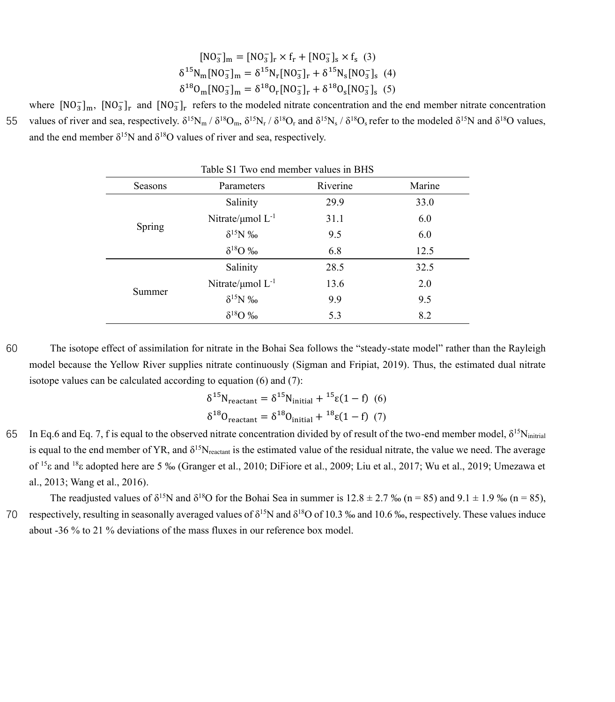$$
[NO3-]m = [NO3-]r × fr + [NO3-]s × fs (3)
$$
  

$$
\delta^{15}Nm[NO3-]m = \delta^{15}Nr[NO3-]r + \delta^{15}Ns[NO3-]s (4)
$$
  

$$
\delta^{18}Om[NO3-]m = \delta^{18}Or[NO3-]r + \delta^{18}Os[NO3-]s (5)
$$

where  $[NO_3^-]_m$ ,  $[NO_3^-]_r$  and  $[NO_3^-]_r$  refers to the modeled nitrate concentration and the end member nitrate concentration 55 values of river and sea, respectively.  $\delta^{15}N_m / \delta^{18}O_m$ ,  $\delta^{15}N_r / \delta^{18}O_r$  and  $\delta^{15}N_s / \delta^{18}O_s$  refer to the modeled  $\delta^{15}N$  and  $\delta^{18}O$  values, and the end member  $\delta^{15}N$  and  $\delta^{18}O$  values of river and sea, respectively.

| Table 51 Two chd member values in DITS |                             |          |        |  |  |
|----------------------------------------|-----------------------------|----------|--------|--|--|
| Seasons                                | Parameters                  | Riverine | Marine |  |  |
|                                        | Salinity                    | 29.9     | 33.0   |  |  |
|                                        | Nitrate/ $\mu$ mol $L^{-1}$ | 31.1     | 6.0    |  |  |
| Spring                                 | $\delta^{15}N$ ‰            | 9.5      | 6.0    |  |  |
|                                        | $\delta^{18}O$ ‰            | 6.8      | 12.5   |  |  |
|                                        | Salinity                    | 28.5     | 32.5   |  |  |
|                                        | Nitrate/ $\mu$ mol $L^{-1}$ | 13.6     | 2.0    |  |  |
| Summer                                 | $\delta^{15}N$ ‰            | 9.9      | 9.5    |  |  |
|                                        | $\delta^{18}O$ ‰            | 5.3      | 8.2    |  |  |

Table S1 Two end member values in BHS

60 The isotope effect of assimilation for nitrate in the Bohai Sea follows the "steady-state model" rather than the Rayleigh model because the Yellow River supplies nitrate continuously (Sigman and Fripiat, 2019). Thus, the estimated dual nitrate isotope values can be calculated according to equation (6) and (7):

$$
\delta^{15}N_{\text{reactant}} = \delta^{15}N_{\text{initial}} + {}^{15}\varepsilon(1-f) \tag{6}
$$

$$
\delta^{18}O_{\text{reactant}} = \delta^{18}O_{\text{initial}} + {}^{18}\varepsilon(1-f) \tag{7}
$$

 $65$  In Eq.6 and Eq. 7, f is equal to the observed nitrate concentration divided by of result of the two-end member model,  $δ<sup>15</sup>N<sub>initial</sub>$ is equal to the end member of YR, and  $\delta^{15}N_{\text{reactant}}$  is the estimated value of the residual nitrate, the value we need. The average of <sup>15</sup>ε and <sup>18</sup>ε adopted here are 5 ‰ (Granger et al., 2010; DiFiore et al., 2009; Liu et al., 2017; Wu et al., 2019; Umezawa et al., 2013; Wang et al., 2016).

The readjusted values of  $\delta^{15}N$  and  $\delta^{18}O$  for the Bohai Sea in summer is  $12.8 \pm 2.7$  ‰ (n = 85) and  $9.1 \pm 1.9$  ‰ (n = 85), 70 respectively, resulting in seasonally averaged values of  $\delta^{15}N$  and  $\delta^{18}O$  of 10.3 ‰ and 10.6 ‰, respectively. These values induce about -36 % to 21 % deviations of the mass fluxes in our reference box model.